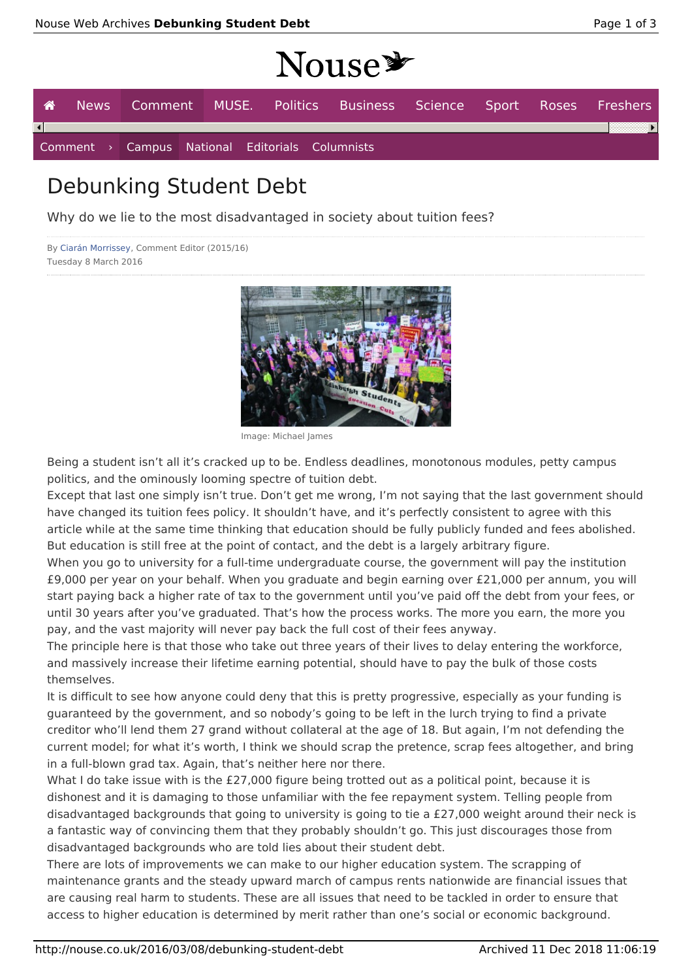# NOUSE

|                        |  |  | $\blacktriangle$ 10000                          |                                                                   |  |  |
|------------------------|--|--|-------------------------------------------------|-------------------------------------------------------------------|--|--|
| 一合一                    |  |  |                                                 | News Comment MUSE. Politics Business Science Sport Roses Freshers |  |  |
| $\left  \cdot \right $ |  |  |                                                 |                                                                   |  |  |
|                        |  |  | Comment > Campus National Editorials Columnists |                                                                   |  |  |

## Debunking Student Debt

Why do we lie to the most disadvantaged in society about tuition fees?

```
By Ciarán Morrissey, Comment Editor (2015/16)
Tuesday 8 March 2016
```


Image: Michael James

Being a student isn't all it's cracked up to be. Endless deadlines, monotonous modules, petty campus politics, and the ominously looming spectre of tuition debt.

Except that last one simply isn't true. Don't get me wrong, I'm not saying that the last government should have changed its tuition fees policy. It shouldn't have, and it's perfectly consistent to agree with this article while at the same time thinking that education should be fully publicly funded and fees abolished. But education is still free at the point of contact, and the debt is a largely arbitrary figure.

When you go to university for a full-time undergraduate course, the government will pay the institution £9,000 per year on your behalf. When you graduate and begin earning over £21,000 per annum, you will start paying back a higher rate of tax to the government until you've paid off the debt from your fees, or until 30 years after you've graduated. That's how the process works. The more you earn, the more you pay, and the vast majority will never pay back the full cost of their fees anyway.

The principle here is that those who take out three years of their lives to delay entering the workforce, and massively increase their lifetime earning potential, should have to pay the bulk of those costs themselves.

It is difficult to see how anyone could deny that this is pretty progressive, especially as your funding is guaranteed by the government, and so nobody's going to be left in the lurch trying to find a private creditor who'll lend them 27 grand without collateral at the age of 18. But again, I'm not defending the current model; for what it's worth, I think we should scrap the pretence, scrap fees altogether, and bring in a full-blown grad tax. Again, that's neither here nor there.

What I do take issue with is the £27,000 figure being trotted out as a political point, because it is dishonest and it is damaging to those unfamiliar with the fee repayment system. Telling people from disadvantaged backgrounds that going to university is going to tie a £27,000 weight around their neck is a fantastic way of convincing them that they probably shouldn't go. This just discourages those from disadvantaged backgrounds who are told lies about their student debt.

There are lots of improvements we can make to our higher education system. The scrapping of maintenance grants and the steady upward march of campus rents nationwide are financial issues that are causing real harm to students. These are all issues that need to be tackled in order to ensure that access to higher education is determined by merit rather than one's social or economic background.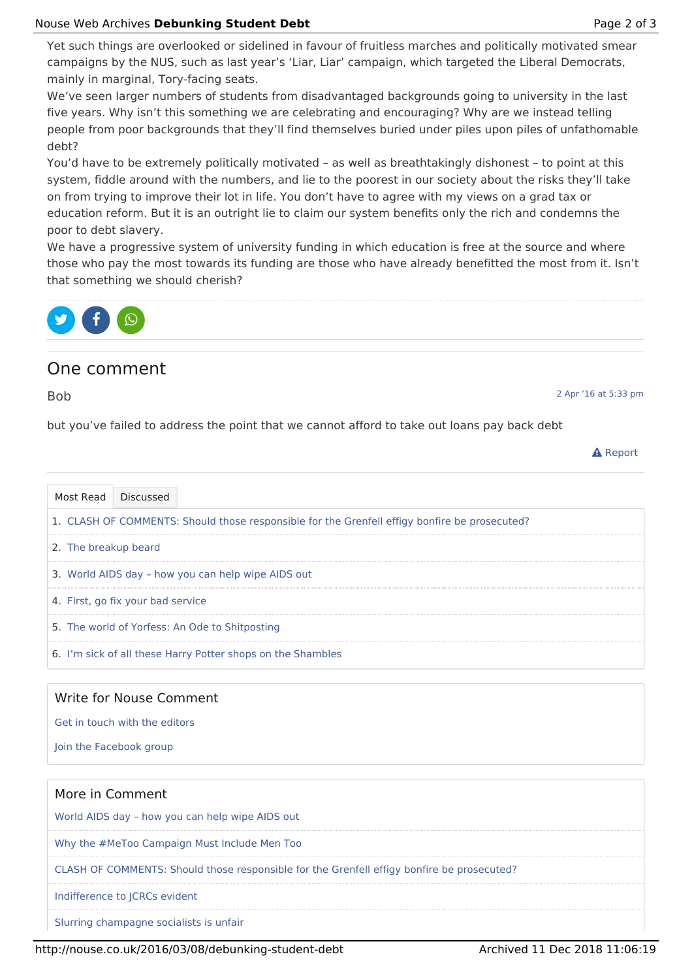Yet such things are overlooked or sidelined in favour of fruitless marches and politically motivated smear campaigns by the NUS, such as last year's 'Liar, Liar' campaign, which targeted the Liberal Democrats, mainly in marginal, Tory-facing seats.

We've seen larger numbers of students from disadvantaged backgrounds going to university in the last five years. Why isn't this something we are celebrating and encouraging? Why are we instead telling people from poor backgrounds that they'll find themselves buried under piles upon piles of unfathomable debt?

You'd have to be extremely politically motivated – as well as breathtakingly dishonest – to point at this system, fiddle around with the numbers, and lie to the poorest in our society about the risks they'll take on from trying to improve their lot in life. You don't have to agree with my views on a grad tax or education reform. But it is an outright lie to claim our system benefits only the rich and condemns the poor to debt slavery.

We have a progressive system of university funding in which education is free at the source and where those who pay the most towards its funding are those who have already benefitted the most from it. Isn't that something we should cherish?



### One comment

Bob

2 Apr '16 at 5:33 pm

but you've failed to address the point that we cannot afford to take out loans pay back debt

|--|--|

| Most Read                                          | <b>Discussed</b>                                                                              |  |  |  |  |
|----------------------------------------------------|-----------------------------------------------------------------------------------------------|--|--|--|--|
|                                                    | 1. CLASH OF COMMENTS: Should those responsible for the Grenfell effigy bonfire be prosecuted? |  |  |  |  |
| 2. The breakup beard                               |                                                                                               |  |  |  |  |
| 3. World AIDS day - how you can help wipe AIDS out |                                                                                               |  |  |  |  |
| 4. First, go fix your bad service                  |                                                                                               |  |  |  |  |
| 5. The world of Yorfess: An Ode to Shitposting     |                                                                                               |  |  |  |  |
|                                                    | 6. I'm sick of all these Harry Potter shops on the Shambles                                   |  |  |  |  |

#### Write for Nouse Comment

Get in touch with the editors

Join the Facebook group

## More in Comment World AIDS day – how you can help wipe AIDS out Why the #MeToo Campaign Must Include Men Too CLASH OF COMMENTS: Should those responsible for the Grenfell effigy bonfire be prosecuted? Indifference to JCRCs evident

Slurring champagne socialists is unfair

http://nouse.co.uk/2016/03/08/debunking-student-debt Archived 11 Dec 2018 11:06:19